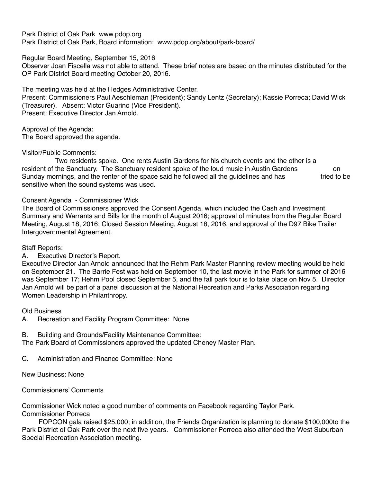Park District of Oak Park www.pdop.org Park District of Oak Park, Board information: www.pdop.org/about/park-board/

Regular Board Meeting, September 15, 2016

Observer Joan Fiscella was not able to attend. These brief notes are based on the minutes distributed for the OP Park District Board meeting October 20, 2016.

The meeting was held at the Hedges Administrative Center.

Present: Commissioners Paul Aeschleman (President); Sandy Lentz (Secretary); Kassie Porreca; David Wick (Treasurer). Absent: Victor Guarino (Vice President). Present: Executive Director Jan Arnold.

Approval of the Agenda: The Board approved the agenda.

# Visitor/Public Comments:

 Two residents spoke. One rents Austin Gardens for his church events and the other is a resident of the Sanctuary. The Sanctuary resident spoke of the loud music in Austin Gardens on Sunday mornings, and the renter of the space said he followed all the quidelines and has tried to be sensitive when the sound systems was used.

## Consent Agenda - Commissioner Wick

The Board of Commissioners approved the Consent Agenda, which included the Cash and Investment Summary and Warrants and Bills for the month of August 2016; approval of minutes from the Regular Board Meeting, August 18, 2016; Closed Session Meeting, August 18, 2016, and approval of the D97 Bike Trailer Intergovernmental Agreement.

# Staff Reports:

# A. Executive Director's Report.

Executive Director Jan Arnold announced that the Rehm Park Master Planning review meeting would be held on September 21. The Barrie Fest was held on September 10, the last movie in the Park for summer of 2016 was September 17; Rehm Pool closed September 5, and the fall park tour is to take place on Nov 5. Director Jan Arnold will be part of a panel discussion at the National Recreation and Parks Association regarding Women Leadership in Philanthropy.

# Old Business

- A. Recreation and Facility Program Committee: None
- B. Building and Grounds/Facility Maintenance Committee:

The Park Board of Commissioners approved the updated Cheney Master Plan.

C. Administration and Finance Committee: None

New Business: None

Commissioners' Comments

Commissioner Wick noted a good number of comments on Facebook regarding Taylor Park. Commissioner Porreca

 FOPCON gala raised \$25,000; in addition, the Friends Organization is planning to donate \$100,000to the Park District of Oak Park over the next five years. Commissioner Porreca also attended the West Suburban Special Recreation Association meeting.